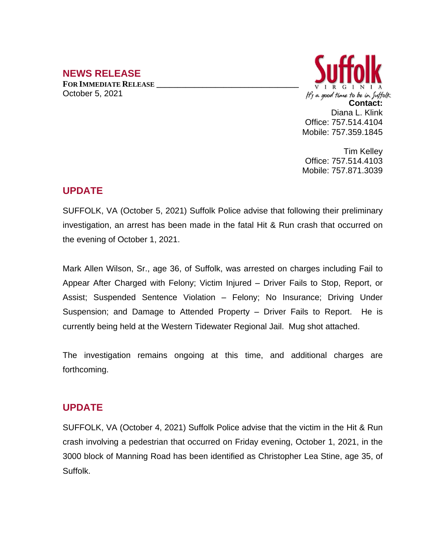## **NEWS RELEASE**

**FOR IMMEDIATE RELEASE \_\_\_\_\_\_\_\_\_\_\_\_\_\_\_\_\_\_\_\_\_\_\_\_\_\_\_\_\_\_\_\_\_\_** October 5, 2021



Tim Kelley Office: 757.514.4103 Mobile: 757.871.3039

## **UPDATE**

SUFFOLK, VA (October 5, 2021) Suffolk Police advise that following their preliminary investigation, an arrest has been made in the fatal Hit & Run crash that occurred on the evening of October 1, 2021.

Mark Allen Wilson, Sr., age 36, of Suffolk, was arrested on charges including Fail to Appear After Charged with Felony; Victim Injured – Driver Fails to Stop, Report, or Assist; Suspended Sentence Violation – Felony; No Insurance; Driving Under Suspension; and Damage to Attended Property – Driver Fails to Report. He is currently being held at the Western Tidewater Regional Jail. Mug shot attached.

The investigation remains ongoing at this time, and additional charges are forthcoming.

## **UPDATE**

SUFFOLK, VA (October 4, 2021) Suffolk Police advise that the victim in the Hit & Run crash involving a pedestrian that occurred on Friday evening, October 1, 2021, in the 3000 block of Manning Road has been identified as Christopher Lea Stine, age 35, of Suffolk.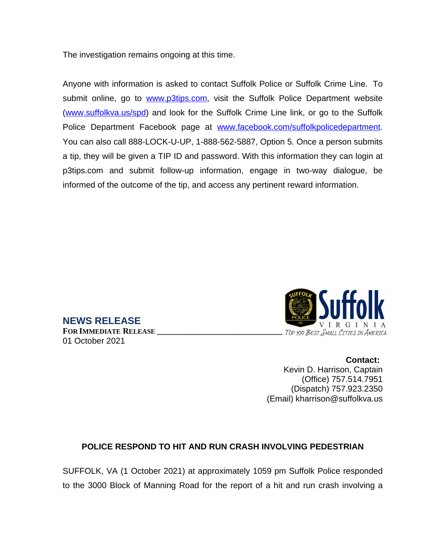The investigation remains ongoing at this time.

**NEWS RELEASE**

01 October 2021

**FOR IMMEDIATE RELEASE \_\_\_\_\_\_\_\_\_\_\_\_\_\_\_\_\_\_\_\_\_\_\_\_\_\_\_\_\_\_**

Anyone with information is asked to contact Suffolk Police or Suffolk Crime Line. To submit online, go to [www.p3tips.com](http://www.p3tips.com), visit the Suffolk Police Department website ([www.suffolkva.us/spd](http://www.suffolkva.us/spd)) and look for the Suffolk Crime Line link, or go to the Suffolk Police Department Facebook page at [www.facebook.com/suffolkpolicedepartment.](http://www.facebook.com/suffolkpolicedepartment) You can also call 888-LOCK-U-UP, 1-888-562-5887, Option 5. Once a person submits a tip, they will be given a TIP ID and password. With this information they can login at p3tips.com and submit follow-up information, engage in two-way dialogue, be informed of the outcome of the tip, and access any pertinent reward information.



**Contact:** Kevin D. Harrison, Captain (Office) 757.514.7951 (Dispatch) 757.923.2350 (Email) kharrison@suffolkva.us

## **POLICE RESPOND TO HIT AND RUN CRASH INVOLVING PEDESTRIAN**

SUFFOLK, VA (1 October 2021) at approximately 1059 pm Suffolk Police responded to the 3000 Block of Manning Road for the report of a hit and run crash involving a